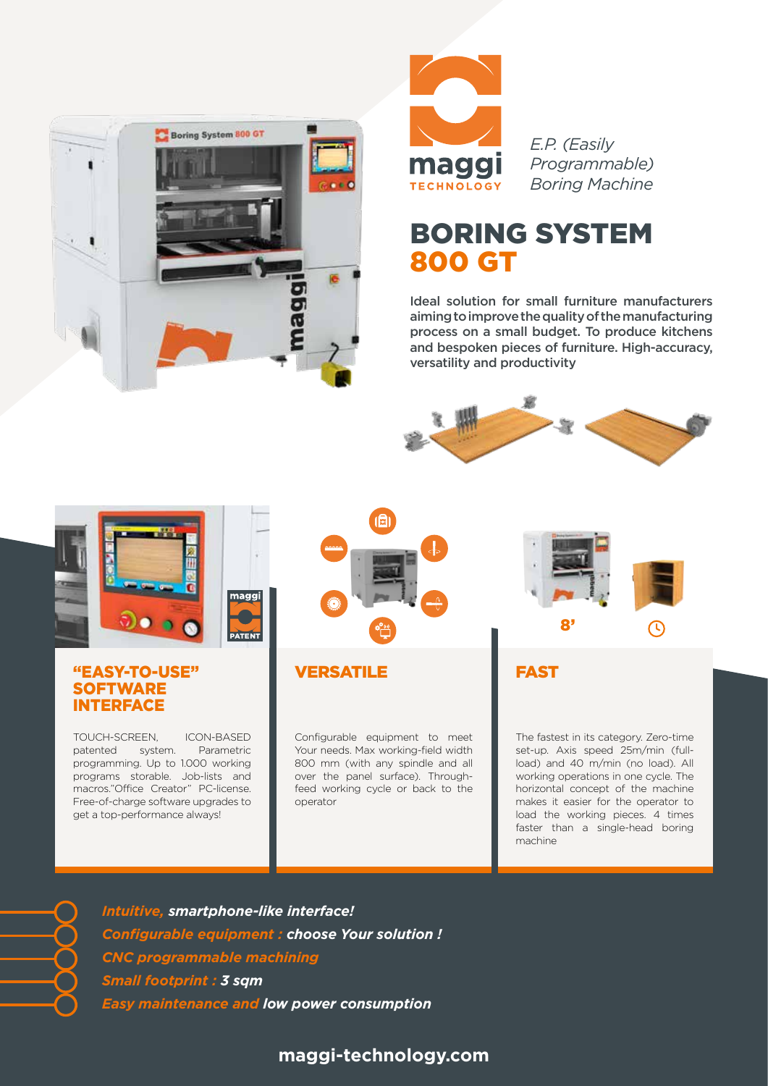



*E.P. (Easily Programmable) Boring Machine*

## BORING SYSTEM 800 GT

Ideal solution for small furniture manufacturers aiming to improve the quality of the manufacturing process on a small budget. To produce kitchens and bespoken pieces of furniture. High-accuracy, versatility and productivity





### "EASY-TO-USE" **SOFTWARE** INTERFACE

TOUCH-SCREEN, ICON-BASED patented system. Parametric programming. Up to 1.000 working programs storable. Job-lists and macros."Office Creator" PC-license. Free-of-charge software upgrades to get a top-performance always!





Configurable equipment to meet Your needs. Max working-field width 800 mm (with any spindle and all over the panel surface). Throughfeed working cycle or back to the operator



FAST

The fastest in its category. Zero-time set-up. Axis speed 25m/min (fullload) and 40 m/min (no load). All working operations in one cycle. The horizontal concept of the machine makes it easier for the operator to load the working pieces. 4 times faster than a single-head boring machine

*Intuitive, smartphone-like interface! Configurable equipment : choose Your solution ! CNC programmable machining Small footprint : 3 sqm Easy maintenance and low power consumption*

## **maggi-technology.com**